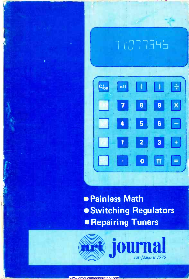





**• Painless Math .** Switching Regulators **• Repairing Tuners** 

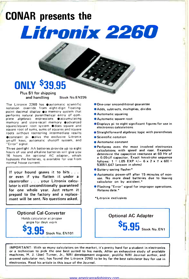# CONAR presents the Litronix 2260

### **ONLY \$39,95**

Plus \$1 for shipping Stock No.EN226

The Litronix 2260 has  $\bullet$  automatic scientific notation override from eight -digit floatingpoint decimal display  $\bullet$  a memory system that performs natural parenthetical entry of complete algebraic expressions **e** accumulating memory and store-recall memory advanced square/square root system  $\bullet$  does square and square root of sums, sums of squares and square roots without reentering intermediate results constant pi plus the exclusive Litronix on -off keys, automatic shutoff system, and "Error" signal.

Three penlight AA batteries provide up to eight hours of use and alkaline batteries will give you 16 hours. An optional AC adapter, which bypasses the batteries, is available for use from normal house current.

If your hound gnaws it to bits . . . or even if you flatten it under a steamroller . . . your Litronix calculator is still unconditionally guaranteed for one whole year. Just return it prepaid to the factory and a replacement will be sent. No questions asked.

Optional Cal -Converter Holds calculator at proper angle for desk work

Stock No. EN101

- One-year unconditional guarantee
- Adds, subtracts, multiplies, divides
- Automatic squaring
- Automatic square root
- Displays pi to eight significant figures for use in electronics calculations
- Straightforward algebraic logic with parentheses
- Scientific notation
- Automatic constant
- **Performs even the most involved electronics** calculations with speed and ease. Example: determine the capacitive reactance at 60 Hz of <sup>a</sup>0.05-µf capacitor. Exact keystroke sequence follows:  $1 \div (.05$  EXP  $+/- 6 \times 2 \times \pi \times 60$ ) = 53051.647 (answer in ohms)
- **Battery-saving flasher\***
- Automatic power -off after 15 minutes of non use. No more dead batteries due to leaving calculator on by accident."
- Flashing "Error" signal for improper operations. Retains data.

Optional AC Adapter

 $\overline{5}$   $\overline{9}$  Stock No. EN1

Litronix exclusives

IMPORTANT: With so many calculators on the market, it's pretty hard for a student in electronics or a technician to pick the one best suited to his needs. After an exhaustive study of available machines, H. J. (Joe) Turner, Jr., NRI development engineer, prolific NRI Journal author, and avowed calculator nut, has found the Litronix 2260 to be by far the best calculator buy for use in electronics. Read his article in this issue of the Journal.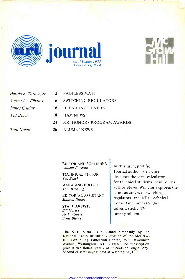



| Harold J. Turner, Jr. | $\mathbf{2}$ | P/           |
|-----------------------|--------------|--------------|
| Steven L. Williams    | 6.           | $S\setminus$ |
| James Crudup          | 16           | R)           |
| Ted Beach             | 18           | H            |
|                       | 24           | N            |
| <b>Tom Nolan</b>      | 26           | A            |

- PAINLESS MATH
- SWITCHING REGULATORS
- REPAIRING TUNERS
- HAM NEWS
	- 24 NRI HONORS PROGRAM AWARDS
- ALUMNI NEWS

EDITOR AND PUBLISHER William F. Dunn

TECHNICAL EDITOR Ted Beach

MANAGING EDITOR Tom Beadling

EDITORIAL ASSISTANT Mildred Duncan

STAFF ARTISTS Bill Massey Arthur Susser Ernie Blaine

In this issue, prolific Journal author Joe Turner discusses the ideal calculator for technical students, new Journal author Steven Williams explores the latest advances in switching regulators, and NRI Technical Consultant James Crudup solves a sticky TV tuner problem.

The NRI Journal is published bimonthly by the National Radio Institute, a division of the McGraw-Hill Continuing Education Center, 3939 Wisconsin Avenue, Washington, D.C. 20016. The subscription price is two dollars yearly or 35 cents per single copy. Second-class postage is paid at Washington, D.C.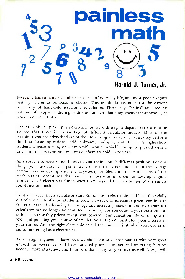

Everyone has to handle numbers as a part of everyday life, and most people regard math problems as bothersome chores. This no doubt accounts for the current popularity of hand-held electronic calculators. These tiny "brains" are used by millions of people in dealing with the numbers that they encounter at school, at work, and even at play.

One has only to pick up a newspaper or walk through a department store to be assured that there is no shortage of different calculator models. Most of the machines you see advertised are of the "four -banger" variety. That is, they perform the four basic operations: add, subtract, multiply, and divide. A high-school student, a businessman, or a housewife would probably be quite pleased with a calculator of this type, and millions of them are sold every year.

As a student of electronics, however, you are in a much different position. For one thing, you encounter a larger amount of math in your studies than the average person does in dealing with the day-to-day problems of life. And, many of the mathematical operations that you must perform in order to develop a good knowledge of electronics fundamentals are beyond the capabilities of the simple four -function machine.

Until very recently, a calculator suitable for use in electronics had been financially out of the reach of most students. Now, however, as calculator prices continue to fall as a result of advancing technology and increasing mass production, a scientific calculator can no longer be considered a luxury for someone in your position, but rather, a reasonably-priced investment toward your education. By enrolling with NRI and pursuing your course of studies, you have demonstrated your interest in your future. And the right electronic calculator could be just what you need as an aid to mastering basic electronics.

As a design engineer, I have been watching the calculator market with very great interest for several years. I have watched prices plummet and operating features become more attractive, and I am sure that many of you have as well. Now, I will

2 NRI Journal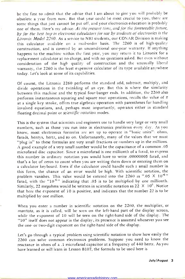be the first to admit that the advice that 1 am about to give you will probably be obsolete a year from now. But that year could be most crucial to you; there are some things that just cannot be put off, and your electronics education is probably one of them. Here's my advice: At the present time, and for the foreseeable future, by far the best buy in electronic calculators for use by students of electronics is the Litronix Model 2260. As a service to NRI students, our CONAR Division is making this calculator available on a mail-order basis. The 2260 is of high -quality construction, and is covered by an unconditional one-year warranty. If anything happens to the machine within the first year, you may return it to Litronix for a replacement calculator at no charge, and with no questions asked. But even without consideration of the high quality of construction and the unusually liberal warranty, the 2260 is the least expensive calculator of its type available anywhere today. Let's look at some of its capabilities.

Of course, the Litronix 2260 performs the standard add, subtract, multiply, and divide operations in the twinkling of an eye. But this is where the similarity between this machine and the typical four -banger ends. In addition, the 2260 also performs instantaneous squaring and square root operations, recalls the value of  $\pi$ at a single key stroke, offers true algebraic operation with parentheses for handling involved equations, and, perhaps most importantly, operates either in standard floating decimal point or scientific notation modes.

This is the system that scientists and engineers use to handle very large or very small numbers, such as those you run into in electronics problems every day. As you know, most electronics formulas are set up to operate in "basic units": ohms, farads, henrys, hertz, and so on. Unfortunately, many of the values that we must "plug in" to these formulas are very small fractions or numbers up in the millions. A good example of a very small number would be the capacitance of a common .05 microfarad disc capacitor. Since a microfarad is one millionth of a farad, to express this number in ordinary notation you would have to write .00000005 farad, and that's a lot of zeros to count when you are writing them down or entering them on a calculator keyboard. Even if the calculator could handle such a small number in this form, the chance of an error would be high. With scientific notation, the problem vanishes. This value would be entered into the 2260 as ".05  $\times$  10<sup>-6</sup>" farad, with the " $10^{-6}$ " indicating that .05 is to be multiplied by one millionth. Similarly, 22 megohms would be written in scientific notation as 22  $\times$  10<sup>6</sup>. Notice that here the exponent of 10 is positive, and indicates that the number 22 is to be multiplied by one million.

When you enter a number in scientific notation on the 2260, the multiplier, or mantissa, as it is called, will be seen on the left-hand part of the display screen, while the exponent of 10 will be seen on the right-hand side of the display. The "10" itself does not appear in the display; its presence is assumed whenever you see the one- or two -digit exponent on the right-hand side of the display.

Let's go through a typical problem using scientific notation to show how easily the 2260 can solve common electronics problems. Suppose you need to know the reactance in ohms of a .1 microfarad capacitor at a frequency of 440 hertz. As you have learned or will learn in Lesson B107, the formula to be used here is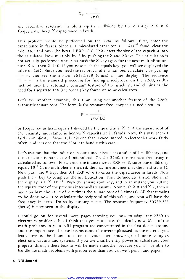$X_{c} = \frac{1}{2\pi fC}$ 

or, capacitive reactance in ohms equals 1 divided by the quantity  $2 \times \pi \times$ frequency in hertz X capacitance in farads.

This problem would be performed on the 2260 as follows: First, enter the capacitance in farads. Since a .1 microfarad capacitor is  $.1 \times 10^{-6}$  farad, clear the calculator and push the keys  $.1$  EXP  $+/-6$ . This enters the size of the capacitor into the calculator. Now multiply by 2 by pushing the  $X$  and 2 keys. This calculation is not actually performed until you push the  $X$  key again for the next multiplication: push  $\times \pi$ , then  $\times$  440. If you now push the equals key, you will see displayed the value of  $2\pi fC$ . Since you need the reciprocal of this number, calculate it by pushing  $\dot{\tau}$  = =, and see the answer 3617.1578 (ohms) in the display. The sequence  $u_{\pm}$  = =" is the standard procedure for finding a reciprocal on the 2260, as this method uses the automatic constant feature of the machine, and eliminates the need for a separate 1/X (reciprocal) key found on some calculators.

Let's try another example, this time using yet another feature of the 2260: automatic square root. The formula for resonant frequency in a tuned circuit is

$$
F = \frac{1}{2\pi\sqrt{LC}}
$$

or frequency in hertz equals 1 divided by the quantity 2  $\times \pi$  X the square root of the quantity inductance in henrys X capacitance in farads. Now, this may seem a fairly complicated formula, but is one that is encountered in electronics work fairly often, and it is one that the 2260 can handle with ease.

Let's assume that the inductor in our tuned circuit has a value of 1 millihenry, and the capacitor is rated at .01 microfarad. On the 2260, the resonant frequency is calculated as follows: First, enter the inductance as  $EXP +/-3$ , since one millihenry equals  $10^{-3}$  (if no multiplier is entered, the machine assumes that the mantissa is 1). Now push the X key, then .01 EXP  $+/-6$  to enter the capacitance in farads. Now push the = key to complete the multiplication. The intermediate answer shown in the display is  $1 \times 10^{-11}$ . Push the square root key, and in an instant you will see the square root of the previous intermediate answer. Now push  $\times \pi$  and  $\times$  2, then = and you have the value of 2  $\pi$  times the square root of L times C. All that remains to be done now is to calculate the reciprocal of this value, and you will have the frequency in hertz. Do so by pushing  $\dot{z} = z$ . The resonant frequency 50329.223 (hertz) is now seen in the display.

<sup>I</sup>could go on for several more pages showing you how to adapt the 2260 to electronics problems, but I think that you must have the idea by now. Most of the math problems in your NRI program are concentrated in the first dozen lessons, and the importance of these lessons cannot be overemphasized, as the material you learn here is the foundation for all your later knowledge of more complex electronic circuits and systems. If you use a sufficiently powerful calculator, your progress through these lessons will be made smoother because you will be able to handle the math problems with greater ease than you can with pencil and paper.

#### 4 NRI Journal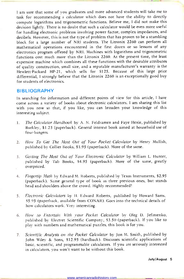<sup>I</sup>am sure that some of you graduates and more advanced students will take me to task for recommending a calculator which does not have the ability to directly compute logarithms and trigonometric functions. Believe me, I did not make this decision lightly. There is no doubt that such a calculator would be even more useful for handling electronic problems involving power factor, complex impedances, and decibels. However, this is not the type of problem that has proven to be a stumbling block for a large number of NRI students. The Litronix 2260 can perform all mathematical operations encountered in the first dozen or so lessons of any electronics program offered by NRI. Machines with logarithms and trigonometric functions cost much more than the Litronix 2260. At the present time, the least expensive machine which combines all these functions with the desirable attributes of quality construction, small size, and a reputable manufacturer's warranty is the Hewlett-Packard HP-21, which sells for \$125. Because of this large price differential, I strongly believe that the Litronix 2260 is an exceptionally good buy for students of electronics.

#### **BIBLIOGRAPHY**

In searching for information and different points of view for this article, I have come across a variety of books about electronic calculators. I am sharing this list with you now so that, if you like, you can broaden your knowledge of this interesting subject.

- 1. The Calculator Handbook by A. N. Feldzamen and Faye Henle, published by Burkley, \$1.25 (paperback). General interest book aimed at household use of four-bangers.
- 2. How To Get The Most Out of Your Pocket Calculator by Henry Mullish, published by Collier Books, \$1.95 (paperback). More of the same.
- 3. Getting The Most Out of Your Electronic Calculator by William L. Hunter, published by Tab Books, \$4.95 (paperback). More of the same, greatly overpriced.
- 4. Fingertip Math by Edward M. Roberts, published by Texas Instruments, \$2.95 (paperback). Same general type of book as three previous ones, but stands head and shoulders above the crowd. Highly recommended!
- 5. Electronic Calculators by H. Edward Roberts, published by Howard Sams, \$5.95 (paperback, available from CONAR). Goes into the technical details of how calculators work. Very interesting.
- 6. How to Entertain With your Pocket Calculator by Oleg D. Jefimenko, published by Electret Scientific Company, \$3.50 (paperback). If you like to play with numbers and mathematical puzzles, this book is for you.
- 7. Scientific Analysis on the Pocket Calculator by Jon M. Smith, published by John Wiley & Sons, \$12.95 (hardback). Discusses scientific applications of basic, scientific, and programmable calculators. If you are seriously interested in calculators, you won't want to be without this book.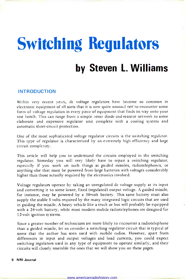# Switching Regulators by Steven L. Williams

#### INTRODUCTION

Within very recent years, dc voltage regulators have become so common in electronic equipment of all sorts that it is now quite unusual  $not$  to encounter some form of voltage regulation in every piece of equipment that finds its way onto your test bench. This can range from a simple zener diode-and-resistor network to some elaborate and expensive regulator unit complete with a cooling system and automatic short-circuit protection.

One of the most sophisticated voltage regulator circuits is the switching regulator. This type of regulator is characterized by an extremely high efficiency and large circuit complexity.

This article will help you to understand the circuits employed in the switching regulator. Someday you will very likely have to repair a switching regulator, especially if you work on such things as guided missiles, radiotelephones, or anything else that must be powered from large batteries with voltages considerably higher than those actually required by the electronics involved.

Voltage regulators operate by taking an unregulated dc voltage supply at its input and converting it to some lower, fixed (regulated) output voltage. A guided missile, for instance, may be powered by a 30-volt battery. This same battery must also supply the stable 5 volts required by the many integrated logic circuits that are used in guiding the missile. A heavy vehicle like a truck or bus will probably be equipped with a 24 -volt battery, while most modern mobile radiotelephones are designed for 12 -volt ignition systems.

Since a greater number of technicians are more likely to encounter a radiotelephone than a guided missile, let us consider a switching regulator circuit that is typical of some that the author has seen used with mobile radios. However, apart from differences in input and output voltages and load currents, you could expect switching regulators used in any type of equipment to operate similarly, and their circuits will closely resemble the ones that we will show you on these pages.

#### 6 NRI Journal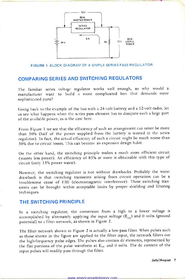

#### FIGURE 1. BLOCK DIAGRAM OF A SIMPLE SERIES PASS REGULATOR.

#### COMPARING SERIES AND SWITCHING REGULATORS

The familiar series voltage regulator works well enough, so why would <sup>a</sup>manufacturer want to build a more complicated box that demands more sophisticated parts?

Going back to the example of the bus with a 24 -volt battery and a 12 -volt radio, let us see what happens when the series pass element has to dissipate such a large part of the available power, as is the case here.

From Figure 1 we see that the efficiency of such an arrangement can never be more than 50% (half of the power supplied from the battery is wasted in the series regulator). In fact, the actual efficiency of such a circuit might be much worse than 50% due to circuit losses. This can become an expensive design habit.

On the other hand, the switching principle makes a much more efficient circuit (wastes less power). An efficiency of 85% or more is obtainable with this type of circuit (only 15% power waste).

However, the switching regulator is not without drawbacks. Probably the worst drawback is that switching transients arising from circuit operation can be <sup>a</sup>troublesome cause of EMI (electromagnetic interference). These switching transients can be brought within acceptable limits by proper shielding and filtering techniques.

#### THE SWITCHING PRINCIPLE

In a switching regulator, the conversion from a high to a lower voltage is accomplished by alternately applying the input voltage  $(E_{in})$  and 0 volts (ground potential) to a filter network, as shown in Figure 2.

The filter network shown in Figure 2 is actually a low-pass filter. When pulses such as those shown in the figure are applied to the filter input, the network filters out the high -frequency pulse edges. The pulses also contain dc elements, represented by the flat portions of the pulse waveform at  $E_{in}$  and 0 volts. The dc content of the input pulses will readily pass through the filter.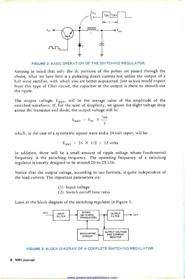

FIGURE 2. BASIC OPERATION OF THE SWITCHING REGULATOR.

Keeping in mind that only the dc portions of the pulses are passed through the choke, what we have here is a pulsating direct current not unlike the output of a half-wave rectifier, with which you are better acquainted. Just as you would expect from this type of filter circuit, the capacitor at the output is there to smooth out the ripple.

The output voltage,  $E_{\text{out}}$ , will be the average value of the amplitude of the switched waveform. If, for the sake of simplicity, we ignore the slight voltage drop across the transistor and diode, the output voltage will be:<br>  $E_{\text{out}} = E_{\text{in}} \times \frac{t_{\text{on}}}{T}$ 

$$
E_{\text{out}} = E_{\text{in}} \times \frac{t_{\text{on}}}{T}
$$

which, in the case of a symmetric square wave and a 24-volt input, will be:

$$
E_{\text{out}} = 24 \times 1/2 = 12 \text{ volts}
$$

In addition, there will be a small amount of ripple voltage whose fundamental frequency is the switching frequency. The operating frequency of a switching regulator is usually designed to be around 20 to 25 kHz.

Notice that the output voltage, according to our formula, is quite independent of the load current. The important parameters are:<br>(1) Input voltage

(2) Switch on/off time ratio

Look at the block diagram of the switching regulator in Figure 3.





#### 8 NRI Journal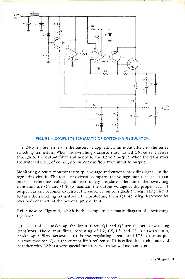

FIGURE 4. COMPLETE SCHEMATIC OF SWITCHING REGULATOR.

The 24 -volt potential from the battery is applied, via an input filter, to the series switching transistors. When the switching transistors are turned ON, current passes through to the output filter and hence to the 12 -volt output. When the transistors are switched OFF, of course, no current can flow from input to output.

Monitoring circuits monitor the output voltage and current, providing signals to the regulating circuit. The regulating circuit compares the voltage monitor signal to an internal reference voltage and accordingly regulates the time the switching transistors are ON and OFF to maintain the output voltage at the proper level. If output current becomes excessive, the current monitor signals the regulating circuit to turn the switching transistors OFF, protecting them against being destroyed by overloads or shorts at the power supply output.

Refer now to Figure 4, which is the complete schematic diagram of a switching regulator.

Cl, Ll, and C2 make up the input filter. Ql and Q2 are the series switching transistors. The output filter, consisting of L2, C5, L3, and C6, is a two -section, choke -input filter network. IC1 is the regulating circuit and IC2 is the output current monitor. Q3 is the current limit reference. D1 is called the catch diode and together with L2 has a very special function, which we will explain later.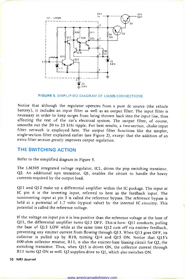

FIGURE 5. SIMPLIFIED DIAGRAM OF LM305 CONNECTIONS.

Notice that although the regulator operates from a pure dc source (the vehicle battery), it includes an input filter as well as an output filter. The input filter is necessary in order to keep surges from being thrown back into the input line, thus affecting the rest of the car's electrical system. The output filter, of course, smooths out the 20 to 25 kHz ripple. For best results, a two-section, choke-input filter network is employed here. The output filter functions like the simpler, single-section filter explained earlier (see Figure 2), except that the addition of an extra filter section greatly improves output regulation.

#### THE SWITCHING ACTION

Refer to the simplified diagram in Figure 5.

The LM305 integrated voltage regulator, IC1, drives the pnp switching transistor, Q2. An additional npn transistor, Ql, enables the circuit to handle the heavy currents required by the output load.

Q11 and Q12 make up a differential amplifier within the IC package. The input at IC pin 6 is the inverting input, referred to here as the feedback input. The noninverting input at pin 5 is called the reference bypass. The reference bypass is held at a potential of 1.7 volts (typical value) by the internal IC circuitry. This potential is called the reference voltage.

If the voltage on input pin 6 is less positive than the reference voltage at the base of Qll, the differential amplifier turns Q13 OFF. This is how: Q11 conducts, pulling the base of Q13 LOW while at the same time Q12 cuts off via emitter feedback, preventing any emitter current from flowing through Q13. When Q13 goes OFF, its collector is pulled up by R10, turning Q14 and Q15 ON. Notice that Q15's 600 -ohm collector resistor, Rl 1, is also the emitter -base biasing circuit for Q2, the switching transistor. Thus, when Q15 is driven ON, the collector current through R11 turns Q2 ON as well. Q2 supplies drive to Q1, which also switches ON.

#### 10 NRI Journal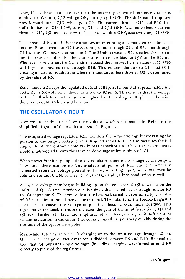Now, if a voltage more positive than the internally generated reference voltage is applied to IC pin 6, Q12 will go ON, cutting Qll OFF. The differential amplifier now forward biases Q13, which goes ON. The current through Q13 and R10 then pulls the base of Q14 LOW, turning Q14 and Q15 OFF. With no collector current through R11, Q2 loses its forward bias and switches OFF, also switching Ql OFF.

The circuit of Figure 5 also incorporates an interesting automatic current limiting feature. Base current for Q2 flows from ground, through Z2 and R5, then through Q15 to the IC booster output, pin 2. The 22 -ohm resistor, R5, is called the current limiting resistor and is also the source of emitter-base bias for  $Q16$  on the IC chip. Whenever base current for Q2 tends to exceed the limit set by the value of R5, Q16 will begin to draw current through R10. This reduces the bias to Q14 and Q15, creating a state of equilibrium where the amount of base drive to Q2 is determined by the value of R5.

Zener diode Z2 keeps the regulated output voltage at IC pin 8 at approximately 6.8 volts. Z3, a 5.6 -volt zener diode, is wired to IC pin 6. This ensures that the voltage to the feedback terminal cannot rise higher than the voltage at IC pin 1. Otherwise, the circuit could latch up and burn out.

#### THE OSCILLATOR CIRCUIT

Now we are ready to see how the regulator switches automatically. Refer to the simplified diagram of the oscillator circuit in Figure 6.

The integrated voltage regulator, IC1, monitors the output voltage by measuring the portion of the output voltage that is dropped across R10. It also measures the full amplitude of the output ripple via bypass capacitor C4. Thus, the instantaneous ripple amplitude adds with the sampled dc voltage at input pin 6 of IC1.

When power is initially applied to the regulator, there is no voltage at the output. Therefore, there can be no bias available at pin 6 of IC1, and the internally generated reference voltage present at the noninverting input, pin 5, will then be able to drive the IC ON, which in turn drives Q2 and Ql into conduction as well.

A positive voltage now begins building up on the collector of Q2 as well as on the emitter of Ql. A small portion of this rising voltage is fed back through resistor R3 to IC1 input pin 5. The amplitude of the feedback signal is determined by the ratio of R3 to the input impedance of the terminal. The polarity of the feedback signal is such that it causes the voltage at pin 5 to become even more positive. This regenerative feedback therefore increases the gain of the amplifier, driving Ql and Q2 even harder. (In fact, the amplitude of the feedback signal is sufficient to sustain oscillation in the circuit.) Of course, this all happens very quickly during the rise time of the square wave pulse.

Meanwhile, filter capacitor C5 is charging up to the input voltage through L2 and Ql. The dc charge on this capacitor is divided between R9 and R10. Remember, too, that C4 bypasses ripple voltages (including charging waveforms) around R9 directly to pin 6 of the regulator IC.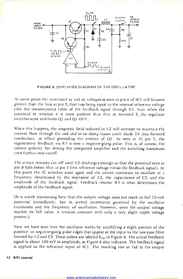

FIGURE 6. SIMPLIFIED DIAGRAM OF THE OSCILLATOR.

At some point the combined ac and dc voltages as seen at pin 6 of IC1 will become greater than the bias at pin 5, that bias being equal to the internal reference voltage plus the instantaneous value of the feedback signal through R3. Now when the potential at terminal 6 is more positive than that at terminal 5, the regulator switches state and turns Q2 and Ql OFF.

When this happens, the magnetic field induced in L2 will attempt to maintain the current flow through the coil and in so doing biases catch diode D1 into forward conduction, in effect grounding the emitter of Ql. As seen at IC pin 5, the regenerative feedback via R3 is now a negative -going pulse. This is, of course, the correct polarity for driving the integrated amplifier and the switching transistors even further into cutoff.

The circuit remains cut off until C5 discharges enough so that the potential seen at pin 6 falls below that at pin 5 (the reference voltage *minus* the feedback signal). At this point the IC switches state again and the circuit continues to oscillate at a frequency determined by the reactance of L2, the capacitance of C5, and the amplitude of the feedback signal. Feedback resistor R3 is what determines the amplitude of the feedback signal.

(It is worth mentioning here that the output voltage does not reach its full 12 -volt potential immediately, but in several increments governed by the oscillator excursions and the frequency of oscillation. However, once the output voltage reaches its full value, it remains constant with only a very slight ripple voltage present.)

Now we have seen how the oscillator works by amplifying a slight portion of the positive- or negative -going pulse edges that appear at the input to the low-pass filter formed by L2 and C5. These pulses are labeled  $E_{in}$  in Figure 6. The actual feedback signal is about 100 mV in amplitude, as Figure 6 also indicates. The feedback signal is applied to the reference input of IC1. The resulting rise or fall in the output

#### 12 NRI Journal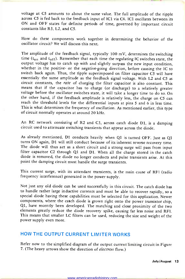voltage at C5 amounts to about the same value. The full amplitude of the ripple across C5 is fed back to the feedback input of IC1 via C4. IC1 oscillates between its ON and OFF states for definite periods of time, governed by important circuit constants like R3, L2, and C5.

How do these components work together in determining the behavior of the oscillator circuit? We will discuss this next.

The amplitude of the feedback signal, typically 100 mV, determines the switching time ( $t_{on}$  and  $t_{off}$ ). Remember that each time the regulating IC switches state, the output voltage has to catch up with and slightly surpass the new input condition, whether in the positive- or the negative-going direction, before causing the IC to switch back again. Thus, the ripple superimposed on filter capacitor C5 will have essentially the same amplitude as the feedback signal voltage. With L2 and C5 as circuit constants, the *rate* of charging the filter capacitor is also constant. This means that if the capacitor has to charge (or discharge) to a relatively greater voltage before the oscillator switches state, it will take a longer time to do so. On the other hand, if the feedback amplitude is relatively less, the charge on C5 can reach the threshold levels for the differential inputs at pins 5 and 6 in less time. This is what determines the frequency of oscillation. As mentioned earlier, this type of circuit normally operates at around 20 kHz.

An RC network consisting of R2 and C3, across catch diode D1, is a damping circuit used to attenuate switching transients that appear across the diode.

As already mentioned, D1 conducts heavily when Ql is turned OFF. Just as Ql turns ON again, D1 will still conduct because of its inherent reverse recovery time.<br>The diode will thus act as a short circuit and a strong surge will pass from input filter capacitor C2 through Q1 and D1. When all the charge stored in the catch diode is removed, the diode no longer conducts and pulse transients arise. At this point the damping circuit must handle the surge transients.

This current surge, with its attendant transients, is the main cause of RFI (radio frequency interference) generated in the power supply.

Not just any old diode can be used successfully in this circuit. The catch diode has to handle rather large inductive currents and must be able to recover rapidly, so a special diode having these capabilities must be selected for this application. Newer components, where the catch diode is grown right onto the power transistor chip, Q1, have recently been developed. The matching and close proximity of the two elements greatly reduce the diode recovery spike, causing far less noise and RFI. This means that smaller LC filters can be used, reducing the size and weight of the power supply even more.

#### HOW THE OUTPUT CURRENT LIMITER WORKS

Refer now to the simplified diagram of the output current limiting circuit in Figure 7. (The heavy arrows show the direction of electron flow.)

www.americanradiohistory.com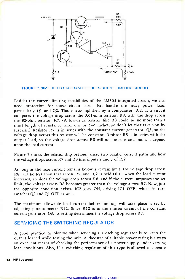

FIGURE 7. SIMPLIFIED DIAGRAM OF THE CURRENT LIMITING CIRCUIT.

Besides the current limiting capabilities of the LM305 integrated circuit, we also need protection for those circuit parts that handle the heavy power load, particularly Ql and Q2. This is accomplished by a comparator, IC2. This circuit compares the voltage drop across the 0.01 -ohm resistor, R8, with the drop across the 82 -ohm resistor, R7. (A low -value resistor like R8 could be no more than a short length of resistance wire, one or two inches, so don't let that take you by surprise.) Resistor R7 is in series with the constant current generator, Q3, so the voltage drop across this resistor will be constant. Resistor R8 is in series with the output load, so the voltage drop across R8 will not be constant, but will depend upon the load current.

Figure 7 shows the relationship between these two parallel current paths and how the voltage drops across R7 and R8 bias inputs 2 and 3 of IC2.

As long as the load current remains below a certain limit, the voltage drop across R8 will be less than that across R7, and IC2 is held OFF. When the load current increases, so does the voltage drop across R8, and if the current surpasses the set limit, the voltage across R8 becomes greater than the voltage across R7. Now, just the opposite condition exists: IC2 goes ON, driving IC1 OFF, which in turn switches Q2 and Ql OFF as well.

The maximum allowable load current before limiting will take place is set by adjusting potentiometer R12. Since R12 is in the emitter circuit of the constant current generator, Q3, its setting determines the voltage drop across R7.

#### SERVICING THE SWITCHING REGULATOR

A good practice to observe when servicing a switching regulator is to keep the output loaded while testing the unit. A rheostat of suitable power rating is always an excellent means of checking the performance of a power supply under varying load conditions. Also, if a switching regulator of this type is allowed to operate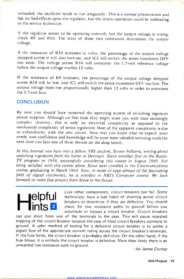unloaded, the oscillator tends to run irregularly. This is a normal phenomenon and has no bad effects upon the regulator, but the erratic operation could be misleading to the service technician.

If the regulator seems to be operating correctly but the output voltage is wrong, check R9 and R10. The ratio of these two resistances determines the output voltage.

If the resistance of R10 increases in value, the percentage of the output voltage dropped across it will also increase, and IC1 will switch the series transistors OFF too soon. The voltage across R10 will overcome the 1.7 -volt reference voltage before the output voltage reaches 12 volts.

If the resistance of R9 increases, the percentage of the output voltage dropped across R10 will be less, and IC1 will switch the series transistors OFF too late. The output voltage must rise proportionally higher than 12 volts in order to overcome the 1.7 -volt bias.

#### **CONCLUSION**

By now you should have mastered the operating secrets of switching regulator power supplies. Although on first look they might scare you with their seemingly complex circuitry, this is only an electrical complexity as opposed to the mechanical complexity of series regulators. Most of the apparent complexity is due newly won confidence and knowledge will be your most valuable servicing tools the next time you face one of these devices on the shop bench.

In this Journal you have met a fellow NRI student, Steven Williams, writing about switching regulators from his home in Denmark. Steve enrolled first in the Radio-TV program in 1959, successfully completing this course in August 1960. Not being satisfied with this course alone, Steve next enrolled in the Communications course, graduating in March 1964. Now, in order to keep abreast of the fascinating field of digital electronics, he is enrolled in NRI's Computer course. We look forward to more fine articles from Steve in the future.

Elpful Like other components, circuit breakers can fail. Some<br>
Htechnicians have a bad habit of shorting across circuit<br>
heavens defective You should breakers to determine if they are defective. You should check for low resistance paths to ground before you substitute or bypass a circuit breaker. Circuit breakers

can also short from one of the terminals to the case. This will cause repeated tripping of the circuit breaker because the case of most circuit breakers connects to ground. A safer method of testing for a defective circuit breaker is to solder a pigtail fuse of the appropriate current rating across the circuit breaker's terminals. If the fuse holds, the circuit breaker is probably defective. On the other hand, if the fuse blows, it is unlikely the circuit breaker is defective. More than likely there is an unwanted low resistance path to ground.  $-by$  James Crudup

July/August 15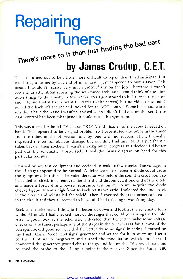# Repairing<br>Tuners **Tuners** the bad part it than just finding the bad  $P^{\alpha}$ .

### by James Crudup, C.E.T.

This set turned out to be a little more difficult to repair than I had anticipated. It was brought to me by a friend of mine that I just happened to owe a favor. This meant I wouldn't receive very much profit if any on the job. Therefore, I wasn't too enthusiastic about repairing the set immediately and I could think of a million other things to do. Finally, a few weeks later I got around to it. I turned the set on and I found that it had a beautiful raster (white screen) but no video or sound. <sup>I</sup>pulled the back off the set and looked for an AGC control. Some black -and -white sets don't have them and I wasn't surprised when I didn't find one on this set. If the AGC control had been misadjusted it could cause this symptom.

This was a small Admiral TV chassis TK2-1A and I had all of the tubes I needed on hand. This appeared to be a signal problem so I substituted the tubes in the tuner and the tubes in the i-f section one by one with no success. Then, I visually inspected the set for obvious damage but couldn't find any. Next I put the old tubes back in their sockets. I wasn't making much progress so I decided I'd better pull out the schematic. Fortunately I had the Sams diagram on hand for this particular receiver.

<sup>I</sup>turned on my test equipment and decided to make a few checks. The voltages in the i-f stages appeared to be normal. A defective video detector diode could cause the symptoms. In this set the video detector was before the sound takeoff point so <sup>I</sup>decided to check it. I removed the shield and disconnected one end of the diode and made a forward and reverse resistance test on it. To my surprise the diode checked good. It had a high front to back resistance ratio. I soldered the diode back in the circuit and reinstalled the shield. Then, I checked the transformers and coils in the circuit and they all seemed to be good. I had a feeling it wasn't my day.

Back to the schematic. I thought I'd better sit down and look at the schematic for <sup>a</sup>while. After all, I had checked most of the stages that could be causing the trouble. After a good look at the schematic I decided that I'd better make some voltage checks on the tuner; perhaps one of the stages in the tuner was at fault. Most of the voltages looked good so I decided I'd better do some signal injecting. I turned on my trusty Conar Model 280 signal generator and waited for it to warm up. I set it to the i-f or 45.75 megahertz and turned the modulation switch on. Next, I connected the generator ground clip to the ground foil on the TV circuit board and touched the probe to the i-f input point in the receiver. Since the Model 280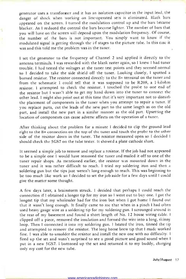generator uses a transformer and it has an isolation capacitor in the input lead, the danger of shock when working on line -operated sets is eliminated. Black bars appeared on the screen. I turned the modulation control up and the bars became blacker. As I reduced the control the bars became lighter. The number of bars that you will have on the screen will depend upon the modulation frequency. Of course, the number of the bars is not important. You simply want to know if the modulated signal is getting through the i-f stages to the picture tube. In this case it was and this told me the problem was in the tuner.

<sup>I</sup>set the generator to the frequency of Channel 2 and applied it directly to the antenna terminals. I was rewarded with the blank raster again, so I knew I had tuner trouble. I had tested the voltages at the tuner test points and they seemed normal so I decided to take the side shield off the tuner. Looking closely, I spotted <sup>a</sup>burned resistor. The resistor connected directly to the B+ terminal on the tuner and from the schematic I could tell that it was supposed to be R208, a 1-kilohm resistor. I attempted to check the resistor. I touched the probe to one end of the resistor but I wasn't able to get my hand down into the tuner to connect the other lead. I might also point out at this time that it's very important not to disturb the placement of components in the tuner when you attempt to repair a tuner. If you replace parts, cut the leads of the new part to the same length as on the old part, and install the new part in a similar manner as the old part. Upsetting the location of components can cause adverse affects on the operation of a tuner.

After thinking about the problem for a minute I decided to clip the ground lead right to the B+ connection on the top of the tuner and touch the probe to the other side of the resistor down in the tuner. The resistor measured open so I decided I should check the 5GS7 on the tube tester. It showed a plate cathode short.

It seemed a simple job to remove and replace a resistor. If the job had not appeared to be a simple one I would have removed the tuner and mailed it off to one of the tuner repair shops. As mentioned earlier, the resistor was mounted down in the tuner and it was rather difficult to reach. I tried my soldering iron and then a soldering gun but the tips just weren't long enough to reach. This was beginning to be too much like work so I decided to set the job aside for a few days until I could give the matter some thought.

A few days later, a brainstorm struck. I decided that perhaps I could reach the connection if I obtained a longer tip for my iron so I went out to buy one. I got the longest tip that my wholesaler had for the iron but when I got home I found out that it wasn't long enough. It finally came to me that when in a pinch I had often used heavy gauge wire as a soldering tip for my soldering gun. I scrounged around in the rear of my basement and found a short length of No. 12 house wiring cable. I clipped off a piece, removed the insulation and formed the wire into a long, skinny loop. Then I connected it into my soldering gun. I heated the iron, tinned the tip and attempted to remove the resistor. The long home brew tip that I made worked fine. I was able to unsolder the resistor and install the new one with no difficulty. <sup>I</sup>fired up the set and wasn't surprised to see a good picture and good sound when I put in a new 5GS7. I buttoned up the set and returned it to my buddy, charging only my cost for the new tube.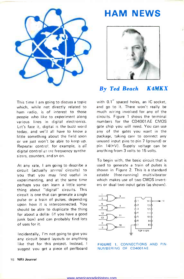

### HAM NEWS



### By Ted Beach K4MKX

This time I am going to discuss a topic which, while not directly related to ham radio, is of interest to those people who like to experiment along various lines in digital electronics. Let's face it, digital is the buzz word today, and we'll all have to know a little something about the field soon or we just won't be able to keep up. Repeater control, for example, is all digital control as are frequency synthe sizers, counters, and so on.

At any rate, I am going to describe <sup>a</sup>circuit (actually several circuits) to you that you may find useful in experimenting, and at the same time perhaps you can learn a little some thing about "digital" circuits. This circuit is one that can generate a single pulse or a train of pulses, depending upon how it is interconnected. You should be able to duplicate the thing for about a dollar (if you have a good junk box) and can probably find lots of uses for it.

Incidentally, I'm not going to give you any circuit board layouts or anything like that for this project. Instead, I suggest you get a piece of perfboard

with 0.1" spaced holes, an IC socket, and go to it. There won't really be much wiring involved for any of the circuits. Figure 1 shows the terminal numbers for the CD4001AE CMOS gate chip you will need. You can use any of the gates you want in the package, taking care to connect any unused input pins to pin 7 (ground) or pin 14(+V). Supply voltage can be anything from 3 volts to 15 volts.

To begin with, the basic circuit that is used to generate a train of pulses is shown in Figure 2. This is a standard astable (free -running) multivibrator which makes use of two CMOS invert ers or dual two input gates (as shown).



FIGURE 1. CONNECTIONS AND PIN-NUMBERING OF CD4001AE.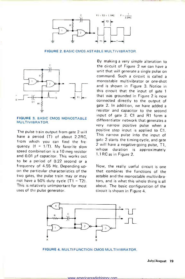

FIGURE 2. EASIC CMOS ASTABLE MULTIVIBRATOR.



#### FIGURE 3. BASIC CMOS MONOSTABLE MULTIVIBRATOR.

The pulse train output from gate 2 will have a period (T) of about 2.2RC, from which you can find the frequency  $(f = 1/T)$ . My favorite slow  $\frac{2}{x}$  will be speed combination is a 10 meg resistor and  $0.01$   $\mu$ f capacitor. This works out to be a period of 0.22 second or a frequency of 4.55 Hz. Depending up- on the particular characteristics of the two gates, the pulse train may or may not have a 50% duty cycle  $(T1 = T2)$ . This is relatively unimportant for most uses of the pulse generator.

By making a very simple alteration to the circuit of Figure 2 we can have a unit that will generate a single pulse on command. Such a circuit is called a monostable multivibrator or one-shot and is shown in Figure 3. Notice in this circuit that the input of gate 1 that was grounded in Figure 2 is now connected directly to the output of gate 2. In addition, we have added a resistor and capacitor to the second input of gate 2. C1 and R1 form a differentiator network that generates a very narrow positive pulse when a positive step input is applied to C1. This narrow pulse into the input of gate 2 starts the timing cycle, and gate 2 will have a negative -going pulse, T1, duration is approximately 1.1 RC as in Figure 2.

Now, the really useful circuit is one that combines the functions of the astable and the monostable multivibrators, and is what this whole thing is all about. The basic configuration of the circuit is shown in Figure 4.



FIGURE 4. MULTIFUNCTION CMOS MULTIVIBRATOR.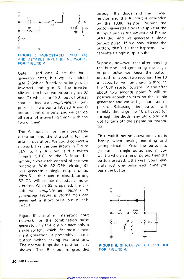

#### FIGURE 5. MONOSTABLE INPUT (A) AND ASTABLE INPUT (B) NETWORKS FOR FIGURE 4

Gate 1 and gate 4 are the basic generator gates, but we have added gate 2 (which functions strictly as an inverter) and gate 3. The inverter allows us to have two output signals (C and D) which are 180° out of phase; that is, they are *complementary* outputs. The two points labeled A and B are our control inputs, and we can do all sorts of interesting things with the two of them.

The A input is for the monostable operation and the B input is for the astable operation. We could connect a network like the one shown in Figure 5(A) to the A input, and a switch [Figure 5(B)j to the B input for simple, two-switch control of the two functions. With S2 OFF, closing S1 will generate a single output pulse. With S1 either open or closed, turning S2 ON will enable the astable multivibrator. When S2 is opened, the circuit will complete any pulse it is generating before it stops! You can never get a short pulse out of this circuit.

Figure 6 is another interesting input network for the combination pulse generator. In this one we have only a single switch, which, for most convenient operation, is preferably a pushbutton switch having two positions. The normal (unpushed) position is as shown. The B input is grounded through the diode and the 1 meg resistor and the A input is grounded by the 100K resistor. Pushing the button generates a positive spike at the A input just as the network of Figure 5(A) did, and we generate a single output pulse. If we now release the button, that's all that happens  $-$  we generate a single output pulse.

Suppose, however, that after pressing the button and generating the single output pulse we keep the button pressed for about two seconds. The 10 µf capacitor will be charging through the 100K resistor toward +V and after about two seconds point B will be positive enough to turn on the astable generator and we will get our train of pulses. Releasing the button will quickly discharge the  $10 \mu f$  capacitor through the diode (any old diode will do) to turn off the astable multivibrator.

This multifunction operation is quite handy when testing counting and gating circuits. Press the button to generate a single pulse, and if you want a whole string of pulses, keep the button pressed. Otherwise, you'll generate just one pulse each time you push the button.



FIGURE 6. SINGLE SWITCH CONTROL FOR FIGURE 4.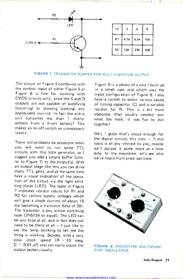

FIGURE 7. TRANSISTOR BUFFER FOR MULTIVIBRATOR OUTPUT.

The circuit of Figure 4 combined with the control input of either Figure 5 or Figure 6 is fine for working with CMOS circuits only, since the C and <sup>D</sup> outputs are not capable of supplying (sourcing) or drawing (sinking) any appreciable current. In fact the entire unit consumes less than 1 microampere from a 9-volt battery! This makes an on-off switch an unnecessary luxury.

There will probably be occasions when you will want to run some TTL circuits with this little generator, so suggest you add a simple buffer (similar to Figure 7) to the output(s). With an output stage like this you can drive many TTL gates, and at the same time have a visual indication of the operation of the circuit via the light emitting diode (LED). The table in Figure <sup>7</sup>indicates resistor values for R1 and R2 for various supply voltages which will give a diode current of about 15 ma (assuming a transistor Beta of 30). The transistor is any silicon switching type (2N5134 or equal). The LED can be any type at all, and in fact does not need to be there at all  $-1$  just like to see the lamp blinking to tell me the thing is working. Besides, with a very slow clock speed  $(R = 10$  meg,  $C = 0.01 \mu f$ ) you can easily count the output pulses visually.

Figure 8 is a photo of a unit I built up in a small case and which uses the input configuration of Figure 5. I also have a switch to select various values of timing capacitor (C) and a variable resistor for R. This is a bit more elaborate than usually needed, but what the heck, it was fun to put together!

Well, I guess that's about enough for the digital circuits this time  $-$  if this topic is of any interest to you, maybe we'll pursue it some more at a later date. In the meantime, let's see who we've heard from since last time.



FIGURE 8. PROTOTYPE MULTIFUNC-TION OSCILLATOR.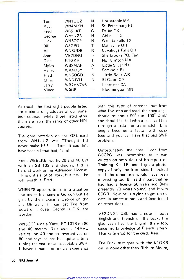| Tom    | WN1UUZ             | N.                       | Housatonic MA           |
|--------|--------------------|--------------------------|-------------------------|
| Matt   | WN4MXN             | N                        | St. Petersburg FL       |
| Fred   | WB5LKE             | G                        | Dallas TX               |
| George | WN5NZS             | N                        | Abilene TX              |
| Dick   | WN5OCP             | N                        | Wichita Falls TX        |
| Bill   | W8GPG              | T.                       | Maineville OH           |
| AL     | WN8UDB             | N                        | Cuyahoga Falls OH       |
| Jean   | VE2DNG             | $\overline{\phantom{a}}$ | Sherbrooke PQ, Can      |
| Dick   | K <sub>1</sub> GKR | Τ                        | No. Grafton MA          |
| Myles  | WB2MAP             | A                        | <b>Little Silver NJ</b> |
| Henry  | WA4MSY             | *                        | Seminole FL             |
| Fred   | WN5OGD             | N                        | Little Rock AR          |
| Chris  | WN6JYH             | N.                       | El Cajon CA             |
| Jerry  | WB7AVO/6           |                          | Lancaster CA            |
| Vince  | WØGP.              |                          | <b>Bloomington MN</b>   |
|        |                    |                          |                         |

As usual, the first eight people listed are students or graduates of our Amateur courses, while those listed after them are from the ranks of other NRI courses.

The only notation on the QSL card from WN1UUZ was "Thought I'd never make it!!!" - Tom. It couldn't have been all that bad, Tom!

Fred, WB5LKE, works 20 and 40 CW with an SB 102 and dipoles, and is hard at work on his Advanced License. <sup>I</sup>know it's a lot of work, but it will be well worth it, Fred.

WN5NZS appears to be in a situation like me  $-$  his name is Gordon but he goes by the nickname George on the air. Oh well, if I can get Ted from Edward, I guess George is O.K. for Gordon.

WN5OCP uses a Yaesu FT 101B on 80 and 40 meters. Dick uses a 14AVQ vertical on 40 and an inverted vee on 80 and says he has had quite a time tuning the vee for an acceptable SWR. <sup>I</sup>haven't had too much experience with this type of antenna, but from what I've seen and read, the apex angle should be about 90° (not 100° Dick) and should be fed with a balanced line through a balun or transmatch. Line length becomes a factor with coax feed and you can have that bad SWR problem.

Unfortunately the note I got from W8GPG was incomplete as it was written on both sides of his report on Training Kit 1R, and I got a photocopy of only the front side. It looked as if the other side would have been interesting too. Bill said in part that he had had a license 50 years ago (he's presently 70 years young) and it was 8CG R. Now he is trying to get up-todate in amateur radio and (continued on other side)...

VE2DNG's QSL had a note in both English and French on the back. I'm glad Jean had the English there too, since my knowledge of French is zero. Thanks (merci) for the card, Jean.

The Dick that goes with the K1GKR call is none other than Richard Moore,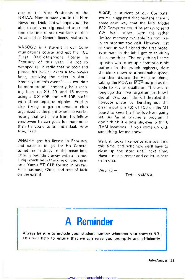one of the Vice Presidents of the NR IAA. Nice to have you in the Ham News too, Dick, and we hope you'll be able to get your rig repaired soon and find the time to start working on that Advanced or General license real soon.

WN5OGD is a student in our Communications course and got his FCC First Radiotelephone license in February of this year. He got so wrapped up in radio that he took and passed his Novice exam a few weeks later, receiving the ticket in April. Fred says of this event "... I couldn't be more proud." Presently, he is keeping busy on 80, 40, and 15 meters using a DX 60B and HR 10B outfit with three separate dipoles. Fred is also trying to get an amateur club organized at the plant where he works, noting that with help from his fellow employees he can get a lot more done than he could as an individual. How true, Fred.

WN6JYH got his license in February and expects to go for his General sometime in July. In the meantime, Chris is pounding away with a Tempo <sup>1</sup>rig which he is thinking of trading in on a Yaesu FT101 B for use in his car. Fine business, Chris, and best of luck on the exam!

WOGP, a student of our Computer course, suggested that perhaps there is some easy way that the NRI Model 832 Computer could be set up to send CW. Well, Vince, with the rather limited memory available it's not likely to program too well. However, just as soon as we finished the first prototype here in the lab I got to thinking the same thing. The only thing I came up with was to set up a continuous bit pattern in the switch registers, slow the clock down to a reasonable speed, and then disable the Execute phase, taking the MDA or MDA output as the code to key an oscillator. This was so long ago that I've forgotten just how I did all this, but I think I disabled the Execute phase by bending out the clear input pin (6) of IC6 on the M1 board to keep the flip-flop from going set. As far as writing a program, I don't think it is possible, even with 16 RAM locations. If you come up with something, let me know.

 $\blacksquare$ 

Well, it looks like we've run overtime this time, and right now we'll have to close up the store until next time. Have a nice summer and do let us hear from you.

Very  $73 -$ 

 $Ted - K4MKX$ 

### A Reminder

Always be sure to include your student number whenever you contact NRI. This will help to ensure that we can serve you promptly and efficiently.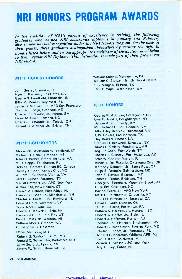## NRI HONORS PROGRAM AWARDS

In the tradition of NRI's pursuit of excellence in training, the following graduates who earned NRI electronics diplomas in January and February also earned unusual recognition under the NRI Honors Program. On the basis of their grades, these graduates distinguished themselves by earning the right to honors listed below and to the appropriate Certificate of Distinction in addition to their regular NRI Diploma. This distinction is made part of their premanent NRI records.

#### WITH HIGHEST HONORS

John Geary, Glenview, IL Hans E. Karlsson, Los Gatos, CA George S. Landfield, Winnetka, IL Billy M. Menees, Key West, FL James G. Schrock, Jr., APO San Francisco Thomas L. Sego, Glendale, AZ Charles P. Steward, Jr., Hiram, GA David M. Swan, Sanford, NC Charles E. Whipple, Jr., Toledo, OH Kermit B. Widener, Jr., Bristol, TN

#### WITH HIGH HONORS

Aleksandar Aleksandrov, Ypsilanti, MI Michael R. Baker, Brandon, MS John H. Barber, Fredericksburg, VA M. H. Capps, Tallahassee, FL Robin S. Chaster, Duncan BC, Canada Harvey J. Cone, Kansas City, MO William P. Cunnane, Vienna, VA Carl H. Duhon, Pasadena, TX Merrill Eastcott, Jr., APO New York Arthur Eza, New Britain, CT Gerard V. Faloon, Park Ridge, NJ Hendrick Fisher, Jr., Manchester, NH Charles A. Furtak, JR., Elmhurst, IL Edward Gold, New York, NY Tony Jacobs, lone, CA Chester F. Kowalski, Erie, PA Lawrence E. La Flair, Roy UT Paul H. Matsuda, Wailuku, HI William Morris, Graham, WA Christopher C. Roseman,

Upper Marlboro, MD Robert G. Sanford, Laurel, MD Ronald C. Schoepflin, Baltimore, MD Larry Seefeldt, Eporia, KS Jimmy W. Smith, Brancroft, MI

William Solano, Monroeville, PA William C. Stewart, Jr., Griffiss AFB NY J. B. Vaughn, El Paso, TX Jack E. Wigal, Washington, WV

#### WITH HONORS

George R. Addison, Cottageville, SC Guy E. Aliotta, Poughkeepsie, NY Dalton Allen, Liberty, KY Mr. Richard L. Bell, Socorro, NM Albert Jay Berwick, Richmond, VA J. W. Bowles, San Antonio, TX Ray Brazzel, Homer, LA Stanley D. Brownell, Syracuse, NY James L. Cathey, Pocahontas, AR Jog Juh Chen, Fort Worth, TX Charles T. Clancey, Fort Huachuca, AZ John W. Cooper, Marion, IL Albert J. Del Rosario, Oklahoma City, OK Anthony Delucchi, Jr., Santa Rosa, CA Hugh E. Despain, Gaithersburg, MD John E. Devous, Bozeman, MT James F. Dollar, Brighton, TN George V. Eisenhart, Mountain Brook, AL H. B. Ely, Charlotte, NC Barton Evans, Jr., APO New York Mark D. Fairbrother, Caledonia, NY Julius W. Fitzpatrick, Saratoga, CA David L. Gray, Duncan, OK James L. Harris, Pottstown, PA William S. Hartsell, Jr., Hanahan, SC Robert A. Hoffer, Jr., Elgin, IL Robert J. Hoffman, Raritan, NJ Leonard Louis Horton, Binghamton, NY Robert C. Hutchinson, Severna Park, MD Edward E. Jones, Jr., Pensacola, FL Richard L. Kaercher, Williams AFB, AZ Cleo H. Kain, Coldwater, MI Vernon T. Keesee, APO New York Billy R. Key, Eaton, NJ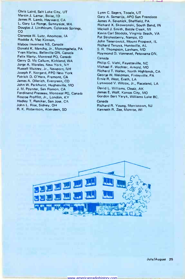Chris Laird, Salt Lake City, UT Martin J. Lamar, Boise, I <sup>D</sup>James R. Lamb, Hayward, CA L. Gary La Ronge, Sunnyside, WA Douglas J. Linthicum, Colorado Springs, CO Clarence W. Lutz, Anomosa, IA Roddie A. Mac Kinnon, Mabou Inverness NS, Canada Donald K. Mancha, Jr., Monongahela, PA Yvan Marleu, Belleville ON, Canada Felix Marty, Montreal PQ, Canada Gerry D. Mc Callum, Kirkland, WA Jorge A. Morales, New York, NY Russell Muzzey, Jr., Newport, NH Joseph F. Norgard, FPO New York Patrick D. O'Hara, Fremont, CA James A. 011erich, Evergreen, CO John W. Parkhurst, Hughesville, MO J. M. Poynter, San Ramon, CA Ferdinand Presseau, Montreal PQ, Canada Roscoe Proffitt, Jr., London, KY Hadley T. Reniker, San Jose, CA John L. Rise, Sidney, OH R. K. Robertson, Aberdeen, SD

Lynn C. Sagers, Tooele, UT Gary A. Samarija, APO San Francisco James A. Sevanick, Sheffield, PA Richard X. Skowronski, South Bend, IN Mickell J. Smith, Battle Creek, MI Kevin Carl Stodola, Virginia Beach, VA Pat Strokesberry, Nampa, ID John Tenerowicz, Mount Prospect, IL Richard Teruya, Huntsville, AL S. R. Thompson, Lanham, MD Raymond D. Vannevel, Petawana ON, Canada Philip C. Viehl, Fayetteville, NC Michael F. Wachter, Arnold, MO Richard T. Walter, North Highlands, CA George W. Weidman, Finleyville, PA Ernie R. West, Erath, LA Lynwood V. Wilcox, Jr., Raceland, LA David L. Williams, Cleaiz, AK James E. Wolf, Kansas City, MO Gordon Bert Yeryk, Williams Lake BC, Canada Richard R. Young, Morristown, NJ Kenneth R. Zee, Monroe, WI

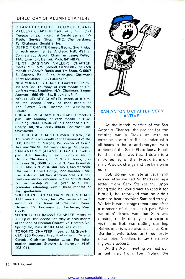#### DIRECTORY OF ALUMNI CHAPTERS

CHAMBERSBURG (CUMBERLAND VALLEY) CHAPTER meets at 8 p.m., 2nd Tuesday of each month at Gerald Strite's TV-Radio Service Shop, RR2, Chambersburg, Pa. Chairman: Gerald Strite.

DETROIT CHAPTER meets 8 p.m., 2nd Friday of each month at St. Andrews Hall, 431 E. Congress St., Detroit. Chairman: James Kelley, 1140 Livernois, Detroit, Mich. 841-4972.

FLINT (SAGINAW VALLEY) CHAPTER meets 7:30 p.m. second Wednesday of each month at Andy's Radio and TV Shop, G-5507 S. Saginaw Rd., Flint, Michigan. Chairman: Larry McMaster, (517) 463-5059.

NEW YORK CITY CHAPTER meets 8:30 p.m., 1st and 3rd Thursday of each month at 199 Lefferts Ave., Brooklyn, N.Y. Chairman: Samuel Antman, 1669 45th St., Brooklyn, N.Y.

NORTH JERSEY CHAPTER meets at 8 p.m. on the second Friday of each month at The Players Club, located on Washington Square.

PHILADELPHIA -CAMDEN CHAPTER meets 8 p.m., 4th Monday of each month in RCA Building, 204-1, Route 38 in Haddonfield Rd., Cherry Hill, New Jersey 08034. Chairman: Joe Szumowski.

PITTSBURGH CHAPTER meets 8 p.m., 1st Thursday of each month in the basement of the U.P. Church of Verona, Pa., corner of South Ave. and 2nd St. Chairman: George McElwain. SAN ANTONIO (ALAMO) CHAPTER meets 7 p.m., 4th Thursday of each month at Alamo Heights Christian Church Scout House, 350 Primrose St., 6500 block of N. New Braunfels St. (3 blocks N. of Austin Hwy.), San Antonio.  $\begin{bmatrix} 11111 & 1111 \\ 1111 & 11111 \\ 1111 & 11111 \\ 1111 & 11111 \end{bmatrix}$ Chairman: Robert Bonge, 222 Amador Lane, San Antonio. All San Antonio area NRI students are always welcome. A free annual chapter membership will be given to all NRI graduates attending within three months of their graduation.

SOUTHEASTERN MASSACHUSETTS CHAP-TER meets 8 p.m., last Wednesday of each month at the home of Chairman Daniel DeJesus, 12 Brookview St., Fairhaven, Mass. 02719.

SPRINGFIELD (MASS.) CHAPTER meets at 7:30 p.m. the second Saturday of each month at the shop of Norman Charest, 74 Redfern Dr., Springfield, Mass. 01109. (413) 734-2609.

TORONTO CHAPTER meets at McGraw-Hill CEC, 330 Progress Ave., Scarborough, Ontario, Canada. Chairman Branko Lebar. For information contact Stewart J. Kenmuir (416) 293-1911.



#### SAN ANTONIO CHAPTER VERY ACTIVE

At the March meeting of the San Antonio Chapter, the project for the evening was a Clovis set with an extreme case of snifits. It ended with all heads in the set and everyone with a piece of the Sams Photofacts. Finally, the trouble was traced down to a miswired leg of the flyback transformer. A quick change and the bars were.

Bob Bonge was late as usual and arrived after we had finished reading a letter from Sam Steinbaugh. Upon being told he would have to read it for himself, he remarked that he didn't want to hear anything Sam had to say. We felt it was a strage remark and after a moment of silence let it pass. What we didn't know was that Sam was outside, ready to pay us a surprise visit, and Bob was pulling our leg. Refreshments were also special as Sam Dentler's wife baked us three lovely pecan pies. Needless to say the meeting was a success.

At the April meeting we had our annual visit from Tom Nolan, the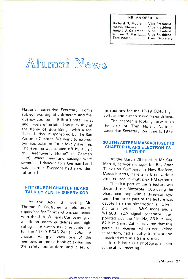#### NRI AA OFFICERS

la

| Richard G. Moore Vice President  |  |
|----------------------------------|--|
| Homer Chaney Vice President      |  |
| Angelo J. Colombo Vice President |  |
| William D. Harris Vice President |  |
| Tom Nolan Exec. Secretary        |  |
|                                  |  |

## Alumni News

National Executive Secretary. Tom's subject was digital voltmeters and frequency counters. [Editor's note: Janet and I were entertained very lavishly at the home of Bob Bonge with a real Texas barbeque sponsored by the San Antonio Chapter. We want to express our appreciation for a lovely evening. The evening was topped off by a visit to "Beethoven's Home" (a German club) where beer and sausage were served and dancing to a German band was in order. Everyone had a wonderful time.]

#### PITTSBURGH CHAPTER HEARS TALK BY ZENITH SUPERVISOR

At the April 3 meeting Mr. Thomas P. Brutscher, a field service supervisor for Zenith who is connected with the J. A. Williams Company, gave a talk on safety guidelines and highvoltage and sweep servicing guidelines for the 17/19 EC45 Zenith color TV chassis. He gave each one of the members present a booklet explaining the safety precautions and a set of

instructions for the 17/19 EC45 highvoltage and sweep servicing guidelines.

The chapter is looking forward to the visit of Tom Nolan, National Executive Secretary, on June 5, 1975.

#### SOUTHEASTERN MASSACHUSETTS CHAPTER HEARS ELECTRONICS **LECTURE**

At the March 26 meeting, Mr. Carl Merrill, service manager for Bay State Television Company in New Bedford, Massachusetts, gave a talk on various circuits used in multiplex FM systems.

The first part of Carl's lecture was devoted to a Motorola 1306 using the phase-lock loop with a three-coil system. The latter part of the lecture was devoted to troubleshooting an Olympic tuner with a B&K scope and a WR5OB RCA signal generator. Carl pointed out the 19-kHz, 38-kHz, and 67 -kHz traps. Carl discovered that this particular receiver, which was picked at random, had a faulty transistor and a cracked core in a transformer.

In this issue is a photograph taken at the above meeting.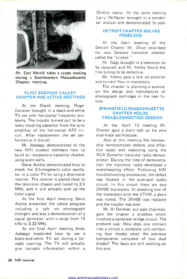

Mr. Carl Merrill takes a scope reading during a Southeastern Massachusetts Chapter meeting.

#### FLINT-SAGINAW VALLEY CHAPTER HAS ACTIVE MEETINGS

At the March meeting, Roger Donaven brought in a black-and-white TV set with horizontal frequency problems. The trouble turned out to be a leaky coupling capacitor from the sync amplifier of the horizontal AFC circuit. After replacement the set performed as it should.

Mr. Jobbagy demonstrated to the new NRI student members how to build an inexpensive capacitor checker using spare parts.

Steve Avetta demonstrated how to check the 3.5-megahertz color oscillator in a color TV by using a shortwave receiver. The receiver is placed close to the television chassis and tuned to 3.5 MHz, and it will actually pick up the color signal.

At the first April meeting, Steve Avetta presented the whole program including a talk on phonograph changers and also a demonstration of a signal generator with a range from 15 kHz to 3.33 MHz.

At the final April meeting Andy Jobbagy explained how to use a black -and -white TV set during a tornado warning. The TV will actually give tornado information within a

20-mile radius. At the same meeting Larry McMaster brought in a conden ser analyst and demonstrated its uses.

#### DETROIT CHAPTER SOLVES PROBLEMS

At the April meeting of the Detroit Chapter Mr. Oliver described his new Sencore transistor checker called the "cricket."

Mr. Nagy brought in a television to be repaired, and Mr. Kelley found the fine tuning to be defective.

Mr. Kelley gave a talk on electron and current flow in transistors.

The chapter is planning a seminar on the design and manufacture of phonograph cartridges in the near future.

#### SPRINGFIELD MASSACHUSETTS CHAPTER HOLDS TROUBLESHOOTING SESSION

At the April 12 meeting Mr. Charest gave a short talk on his new dual -trace oscilloscope.

Also at this meeting the membership demonstrated defects and effective cause and reasoning using the RCA Dynamic transistor radio demonstrator. During the time of demonstration the transistor radio developed a motorboating effect. Following NRI troubleshooting procedures, the defect was located in the push-pull audio circuit. In this circuit there are two 2N408 transistors. In checking one of the transistors with the VTVM, a short was noted. The 2N408 was replaced and the trouble was over.

Mr. Al Dorman, our past chairman, gave the chapter a problem which involved a complete bridge circuit. The problem was: How does one connect into a circuit a complete unit containing four diodes when the previous components consisted of two dual diodes? The boys are still working on this one.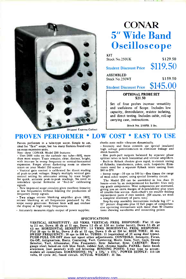

### CONAR 5" Wide Band **Oscilloscope**

KIT Stock No.250UK \$129.50

Student Discount Price \$119.50

ASSEMBLED Stock No.250WT \$159.50

Student Discount Price \$145.00

#### OPTIONAL PROBE SET \$21.50

Set of four probes increase versatility and usefulness of Scope. Includes low capacity, demodulator, resistor isolating, and direct testing. Includes cable, roll-up carrying case, instructions.

Stock No. 250PB. 2 lbs.

### PROVEN PERFORMER \* LOW COST \* EASY TO USE

Proven performer in a tube -type scope. Simple to use, ideal for "first" scope, but has many features found only on more expensive unite.

Note these CONAR Model 250 features:<br>• Uses 2400 volts on the cathode ray tube-50% more than most scopes. Trace remains, clear, distinct, bright, with increase in sweep frequency or vertical -horizontal expansion. Forget about darkening room to observe traces on your Model 250 screen!

Vertical gain control is calibrated for direct reading of peak-to-peak voltages. Simply multiply vertical gain<br>control setting by attenuator setting by trace height<br>for quick, accurate peak-to-peak readings. No need to<br>remember special formulas or "feed-in" calibrating signals.

New improved scope circuitry gives excellent linearity at low frequencies without limiting the production of frequency sweep signals.

Two stage retrace blanking amplifier gives 100% retrace blanking at all frequencies produced by the scope sweep generator. Retrace lines will not confuse the display at high sweep frequencies.

Accurately measures ripple output of power supplies;

checks auto radio vibrators dynamically.

Intensity and focus controls use special insulated high voltage potentiometers to eliminate leakage and shock hazards.

Has push-pull outputs balanced by separate phase splitter tubes in both horizontal and vertical amplifiers. Built-in flyback checker gives rapid, in -circuit testing of flyback', transformers, yokes, coils, loopsticks. Elim-inates need for a separate flyback tester costing from \$40 to \$70.

Sweep range -10 cps to 500 kc-five times the range of most other scopes, using special linearity circuit.

The Model 250 can be assembled in less than <sup>15</sup>hours-even by an inexperienced kit builder. Uses only top grade components. Most components are overrated, giving you an extra margin of dependability plus years of trouble -free service. And-there's no trouble finding replacement parts if ever needed. (Of course, we stock a complete inventory of parts, too.)

Step-by-step assembly instructions include big 17" x 22" picture diagrams plus 12 full pages of comprehen- sive operating instructions with more than 30 illustrations showing waveforms and connecting points.

SPECIFICAL SENSITIVITY: .023 VRMS. VERTICAL FREQ. RESPONSE: Flat 13 cps<br>to 2.5 mc, Down .05 db at 11 cps, Down 1.5 db at 3.58 mc (color burst), Down 3.5 db at<br>4.5 mc. HORIZONTAL SENSITIVITY: 1.0 VRMS. HORIZONTAL FREQ. RESP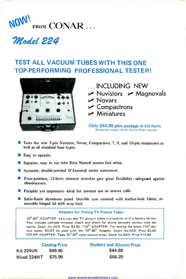

### Model 224

### TEST ALL VACUUM TUBES WITH THIS ONE TOP-PERFORMING PROFESSIONAL TESTER!



- ...INCLUDING NEW
- $\nu$  Nuvistors  $\nu$  Magnovals
- $\nu$  Novars
- $\overline{\smash{\varphi}}$  Compactrons<br> $\overline{\smash{\varphi}}$  Miniatures
- 

Only \$44.80 plus postage in kit form Shipping weight 13 Ib. Parcel Post insured

- Tests the new 5 -pin Nuvistor, Novar, Compactron, 7, 9, and 10 -pin miniatures as well as all standard base types.
- **Easy** to operate.
- Separate, easy to use tube Data Manual assures fast setup.
- Accurate, double jeweled D'Arsonval meter movement.
- Four -position, 12 -lever element switches give great flexibility-safeguard against obsolescence.
- **Portable yet impressive-ideal for counter use or service calls.**
- Satin -finish aluminum panel. Durable case covered with leather -look fabric; re movable hinged lid with snap lock.

#### Adapters for Testing TV Picture Tubes

 $70^0$ -90 $^0$  ADAPTER: Lets you test TV picture tubes in a receiver or in a factory carton. Test includes cathode emission check and check for shorts between various tube elements. Stock No.3AD. Price \$3.00. 110<sup>0</sup> ADAPTER: For testing the latest 110<sup>0</sup> picture tubes. MUST be used with the 70<sup>0</sup>-90<sup>°</sup> Adapter. Stock No.5AD. Price \$3.00. COLOR ADAPTER: Tests 70°-90° color picture tubes. Stock No.9AD. Price \$12.00.

|                  | <b>Catalog Price</b> | <b>Student and Alumni Price</b> |
|------------------|----------------------|---------------------------------|
| <b>Kit 224UK</b> | \$49.95              | \$44.80                         |
| Wired 224WT      | \$75.95              | \$68.25                         |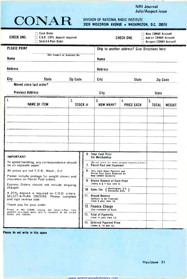#### NRI Journal July/August issue

the property of the control of the state of

| CONAR |  |
|-------|--|
|-------|--|

# CONAR DIVISION OF NATIONAL RADIO INSTITUTE 3939 WISCONSIN AVENUE WASHINGTON, D.C. 20016

| $\Box$ Cash Order<br>CHECK ONE:<br>$\Box$ C.D.D. (20% deposit required)<br>Select-A-Plan Order<br>П                                                                                                                                                                                                                                |              |                                                                                                                                                                                                                                                                                                               |                                                                                  | CHECK ONE:                                    | New CONAR Account<br>$\Box$ Add-on CONAR Account<br>Re-open CONAR Account |        |
|------------------------------------------------------------------------------------------------------------------------------------------------------------------------------------------------------------------------------------------------------------------------------------------------------------------------------------|--------------|---------------------------------------------------------------------------------------------------------------------------------------------------------------------------------------------------------------------------------------------------------------------------------------------------------------|----------------------------------------------------------------------------------|-----------------------------------------------|---------------------------------------------------------------------------|--------|
| <b>PLEASE PRINT</b>                                                                                                                                                                                                                                                                                                                |              |                                                                                                                                                                                                                                                                                                               |                                                                                  | Ship to another address? Give Directions here |                                                                           |        |
| NRI Student or Graduate No.<br>Name                                                                                                                                                                                                                                                                                                |              |                                                                                                                                                                                                                                                                                                               | Name                                                                             |                                               |                                                                           |        |
| Address                                                                                                                                                                                                                                                                                                                            |              |                                                                                                                                                                                                                                                                                                               | Address                                                                          |                                               |                                                                           |        |
| City<br><b>State</b>                                                                                                                                                                                                                                                                                                               | Zip Code     |                                                                                                                                                                                                                                                                                                               | City                                                                             | <b>State</b>                                  | Zip Code                                                                  |        |
| Moved since last order?                                                                                                                                                                                                                                                                                                            |              |                                                                                                                                                                                                                                                                                                               |                                                                                  |                                               |                                                                           |        |
| <b>Previous Address</b>                                                                                                                                                                                                                                                                                                            |              |                                                                                                                                                                                                                                                                                                               | City                                                                             |                                               | <b>State</b>                                                              |        |
| 1.<br><b>NAME OF ITEM</b>                                                                                                                                                                                                                                                                                                          | $\mathbf{2}$ | STOCK $#$                                                                                                                                                                                                                                                                                                     | 3.<br><b>HOW MANY?</b>                                                           | 4.<br><b>PRICE EACH</b>                       | 5.<br><b>TOTAL</b>                                                        | WEIGHT |
|                                                                                                                                                                                                                                                                                                                                    |              |                                                                                                                                                                                                                                                                                                               |                                                                                  |                                               |                                                                           |        |
| <b>IMPORTANT</b>                                                                                                                                                                                                                                                                                                                   |              |                                                                                                                                                                                                                                                                                                               | 6. Total Cash Price<br>For Merchandise                                           |                                               |                                                                           |        |
| To speed handling, any correspondence should<br>be on separate paper.                                                                                                                                                                                                                                                              |              |                                                                                                                                                                                                                                                                                                               | (Do not remit for items shipped Express Collect)<br>7. Parcel Post and Insurance |                                               |                                                                           |        |
| All prices are net F.O.B., Wash., D.C.<br>Please include postage for weight shown and<br>insurance on Parcel Post orders.<br>Express Orders should not include shipping<br>charges.<br>A 20% deposit is required on C.O.D. orders.<br>SELECT-A-PLAN ORDERS: Please complete<br>and sign reverse side.<br>Thank you for your order. |              | 8.<br>10% Cash Down Payment and<br>Parcel Post Costs Required on<br>New CONAR Accounts<br>9. Unpaid Balance of Cash Price<br>(Items 6 & 7 less item 8)<br>Washington, D.C.<br>10. Sales Tax<br>Residents Only<br>11. Unpaid Balance<br>(Amount to be financed)<br>(Item 9 plus item 10)<br>12. Finance Charge |                                                                                  |                                               |                                                                           |        |
|                                                                                                                                                                                                                                                                                                                                    |              |                                                                                                                                                                                                                                                                                                               |                                                                                  |                                               |                                                                           |        |
|                                                                                                                                                                                                                                                                                                                                    |              |                                                                                                                                                                                                                                                                                                               |                                                                                  |                                               |                                                                           |        |
|                                                                                                                                                                                                                                                                                                                                    |              |                                                                                                                                                                                                                                                                                                               |                                                                                  |                                               |                                                                           |        |
|                                                                                                                                                                                                                                                                                                                                    |              |                                                                                                                                                                                                                                                                                                               |                                                                                  |                                               |                                                                           |        |
| Prices in the CONAR catalog and Select-A-Plan time<br>payment privileges apply only to residents of the United<br>States and Canada.                                                                                                                                                                                               |              |                                                                                                                                                                                                                                                                                                               | (See schedule on back)<br>13. Total of Payments                                  |                                               |                                                                           |        |
|                                                                                                                                                                                                                                                                                                                                    |              |                                                                                                                                                                                                                                                                                                               | (Item 11 plus item 12)<br>14. Deferred Payment Price<br>(Items 6, 10 and 12)     |                                               |                                                                           |        |

Please do not write in this space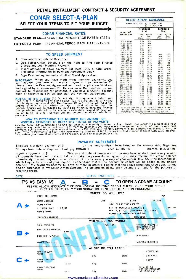#### RETAIL INSTALLMENT CONTRACT & SECURITY AGREEMENT

#### CONAR SELECT -A -PLAN SELECT YOUR TERMS TO FIT YOUR BUDGET

#### CONAR FINANCIAL RATES:

STANDARD PLAN-The ANNUAL PERCENTAGE RATE is 17.75%

EXTENDED PLAN-The ANNUAL PERCENTAGE RATE is 15.50%

#### TO SPEED SHIPMENT

- 1. Complete other side of this sheet.
- 2. Use Select -A -Plan Schedule on the right to find your Finance Charge and your Monthly Payment.
- 3. Insert amount of down payment (at least 10% of total order) and other information in Payment Agreement below.
- 4. Sign Payment Agreement and fill in Credit Application.

IMPORTANT: When you have made three monthly payments, you can "add-on" purchases with no down payment. If you are under 21, please have the Payment Agreement and credit application filled out and signed by a person over 21. He can make the purchase for you and will be responsible for payment. If you have a CONAR account open or recently paid -in -full, just sign the Payment Agreement.

NOTICE TO THE BLYER: (1.) Do not sign this agreement before you<br>read if or if it contains any blank space. (2.) You are entitled to a copy<br>of this signed agreement. (3.) The Finance Charge will be waived if the<br>Finance Cha

increased the Select-A-Plan Schedule to find out what your monthly payment is. Then divide your monthly payment into your monthly the Select-A-Plan Schedule to find out what your monthly payment and a mount which is left o

#### PAYMENT AGREEMENT

Enclosed is a down payment of \$ on the merchandise I have listed on the reverse side. Beginning<br>30 days from date of shipment. I will pay CONAR \$ each month for months, plus a final 30 days from date of shipment, I will pay CONAR \$ monthly payment of \$ . Title to and right of possession of the merchanidse shall remain in you until all payments have been made. If I do not make the payments as agreed, you may declare the entire balance<br>immediately due and payable. In satisfaction of the balance, you may at your option, take back the merchandise,<br>which add-on purchases to my Select A Plan account. The statements below are true and are made for the purpose of receiving credit.

|   |                                         |        | PLEASE ALLOW ADEQUATE TIME FOR NORMAL ROUTINE CREDIT CHECK. ONCE YOUR CREDIT<br>IS ESTABLISHED, ONLY YOUR SIGNATURE IS NEEDED TO ADD ON PURCHASES |                                                                                            |                                   |          |
|---|-----------------------------------------|--------|---------------------------------------------------------------------------------------------------------------------------------------------------|--------------------------------------------------------------------------------------------|-----------------------------------|----------|
|   | PRINT FULL NAME                         |        | WHERE DO YOU LIVE?                                                                                                                                |                                                                                            |                                   | Age      |
|   | HOME ADDRESS                            |        | CITY.                                                                                                                                             | STATE                                                                                      | ZIP CODE                          |          |
| A | HOME PHONE                              |        |                                                                                                                                                   | HOW LONG AT THIS ADDRESS                                                                   |                                   |          |
|   | $( )$ RENT<br>) OWN HOME<br>WIFE'S NAME |        |                                                                                                                                                   | RENT OR MORTGAGE PAYMENTS \$<br>MARITAL STATUS ( ) MARRIED<br>NUMBER OF DEPENDENT CHILDREN | <b>SINGLE</b>                     | PER. MO. |
|   | PREVIOUS ADDRESS                        |        |                                                                                                                                                   |                                                                                            | HOW LONG?                         |          |
|   |                                         |        | WHERE DO YOU WORK?                                                                                                                                |                                                                                            |                                   |          |
|   | YOUR EMPLOYER                           |        | POSITION                                                                                                                                          |                                                                                            | MONTHLY INCOME \$                 |          |
|   | <b>EMPLOYER'S ADDRESS.</b>              | Street | City                                                                                                                                              | State                                                                                      | HOW MANY YEARS<br>ON PRESENT JOB? |          |
|   | PREVIOUS EMPLOYER                       | ты     | Add es                                                                                                                                            |                                                                                            | HOW LONG?                         |          |
|   | WIFE'S EMPLOYE                          | $N$ me | <b>Address</b>                                                                                                                                    |                                                                                            | MONTHLY INCOME \$                 |          |
|   |                                         |        | WHERE DO YOU TRADE?                                                                                                                               |                                                                                            |                                   |          |
|   | <b>BANK ACCOUNT</b><br>WITH             |        |                                                                                                                                                   |                                                                                            | CHECKING                          |          |
|   |                                         | treel  | City                                                                                                                                              | State                                                                                      | SAVINGS                           |          |
|   | <b>CREDIT ACCOUNT</b><br>WITH           | Street | City                                                                                                                                              | State                                                                                      | ) LOAN                            |          |
|   | CREDIT ACCOUNT                          |        |                                                                                                                                                   |                                                                                            | TOTAL OF ALL<br>MONTHLY PAYMENTS  |          |

www.americanradiohistory.com

|                   | PLEASE CHECK ONE          | n<br>п                   | STANDARD PLAN<br><b>EXTENDED PLAN</b> |                          |
|-------------------|---------------------------|--------------------------|---------------------------------------|--------------------------|
| IF UNPAID         | <b>STANDARD</b><br>PLAN   |                          | <b>EXTENDED</b><br><b>PLAN</b>        |                          |
| <b>BALANCE IS</b> | Finan-<br>cia).<br>Charge | Monthly<br>Par-<br>ments | Finan-<br>cial.<br>Charge             | Monthly<br>Pav-<br>ments |
| 20 01 - 25.00     | 1.05                      | 3.50                     |                                       |                          |
| $25.01 - 30.00$   | 1.50                      | 4.00                     |                                       |                          |
| 30.01-35.00       | 2.05                      | 4.50                     |                                       |                          |
| $35.01 - 40.00$   | 2.65                      | 4.75                     |                                       |                          |
| 40.01 - 50.00     | 3.00                      | 5.00                     |                                       |                          |
| $50.01 - 60.00$   | 4.15                      | 5 50                     |                                       |                          |
| 60.01 70.00       | 5.50                      | 6.00                     | 6.40                                  | 4.50                     |
| $70.01 - 80.00$   | 7.00                      | 6.50                     | 8 0 0                                 | 5.00                     |
| 80.01 - 90.00     | 8.00                      | 7.75                     | 10.10                                 | 5.00                     |
| 90.01-100.00      | 9.00                      | 8.75                     | 12.60                                 | 5.25                     |
| 100.01-110.00     | 10.00                     | 9.75                     | 14.80                                 | 5.50                     |
| 110.01-120.00     | 11.00                     | 10.75                    | 16.20                                 | 6.00                     |
| 120.01-130 00     | 12.00                     | 11.75                    | 17.60                                 | 6.50                     |
| 130.01 140.00     | 13.00                     | 12.75                    | 19.40                                 | 7.00                     |
| 140.01-150.00     | 14 00                     | 13.75                    | 21.60                                 | 7.50                     |
| 150.01-160.00     | 15.00                     | 14.75                    | 23.20                                 | 8.00                     |
| 160.01-170.00     | 16.00                     | 15.75                    | 24.80                                 | 8.50                     |
| 170.01-180.00     | 17.00                     | 16.75                    | 26 20                                 | 9.00                     |
| 180.01-200.00     | 18 00                     | 17.00                    | 27.90                                 | 10.00                    |
| 200.01-220.00     | 20.00                     | 18.50                    | 29.80                                 | 11.00                    |
| 220.01-240.00     | 22.00                     | 20 00                    | 32 40                                 | 12.00                    |
| 240.01-260.00     | 24.00                     | 22.00                    | 35 20                                 | 13.00                    |
| 260.01-280.00     | 26.00                     | 24.00                    | 38.20                                 | 14.50                    |
| 280.01-300 00     | 30.00                     | 24.50                    | 41.20                                 | 15.50                    |
| 300.01-320.00     | 32.00                     | 25.50                    | 44.20                                 | 17.00                    |
| 320.01-340.00     | 35.00                     | 27.00                    | 47.80                                 | 18.00                    |
| 340.01-370.00     | 38.00                     | 28.00                    | 52.40                                 | 18.50                    |
| 370.01-400.00     | 42 00                     | 29.50                    | 57.20                                 | 29 00                    |
| 400.01-430 00     | 46.00                     | 31 50                    | 62.20                                 | 21.00                    |
| 430.01-460.00     | 49.50                     | 34.00                    | 69.00                                 | 22.00                    |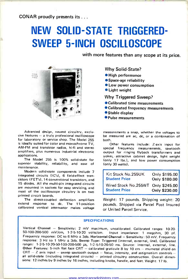CONAR proudly presents its .. .

### NEW SOLID-STATE TRIGGERED - SWEEP 5 -INCH OSCILLOSCOPE

with more features than any scope at its price.



Advanced design, newest circuitry, exclu $sive$  features  $-$  a truly professional oscilloscope for laboratory or service shop. The Model 255 is ideally suited for color and monochrome TV, AM -FM and transistor radios, hi-fi and stereo amplifiers, plus numerous industrial electronic applications.

The Model 255 is 100% solid-state for superior stability, reliability, and ease of maintenance.

Modern solid-state components include 7 integrated circuits (IC's), 6 field-effect transistors (FET's), 14 conventional transistors, and 15 diodes. All the multi-pin integrated circuits are mounted in sockets for easy servicing, and most of the oscilloscope circuitry is on two printed circuit boards.

The direct -coupled deflection amplifiers extend response to dc. The 11-position calibrated vertical attenuator makes voltage

#### Why Solid-State?

- $\bullet$  High performance
- 
- Space-age reliability Low power consumption
- **CLight weight**

Why Triggered Sweep?

- Calibrated time measurements
- Calibrated frequency measurements
- Stable display
- Pulse measurements

measurements a snap, whether the voltages to be measured are ac, dc, or a combination of both.

Other features include: Z-axis input for special frequency measurements, sawtooth output for ringing flyback transformers and yokes,. attractive cabinet design, light weight (only 17 lbs.), and low power consumption (only 30 watts).

| Kit Stock No.255UK<br><b>Student Price</b>                        | Only \$195.00 Only \$180.00 |  |
|-------------------------------------------------------------------|-----------------------------|--|
| Wired Stock No.255WT Only \$245.00<br>Student Price Only \$230.00 |                             |  |

Weight: 17 pounds. Shipping weight: 20 pounds. Shipped via Parcel Post Insured or United Parcel Service.

#### SPECI FICATIONS

Vertical Channel - Sensitivity: 2 mV maximum, uncalibrated. Calibrated ranges: 10-20-50-100-200-500 mV/cm, 1-2-5-10-20 volts/cm. Input impedance: 1 megohm, 30 pf.<br>Frequency response: DC to 6 MHz ± 3db. Horizontal Channel - Sensitivity: 50 mV. Frequency response: 3 Hz to 1 MHz ± 3db. Sweep Type: Triggered (internal, external, line). Calibrated ranges: 1-2-5-10-20-50-100-200-500  $\mu s$ , 1-2-5-10-20-50 ms. Source: internal, external, line. Other Features: 5-inch flat face CRT - calibrated graticule 8 by 10 cm - mumetal shield on CRT - Z axis input - sweep sawtooth output - focus, intensity, and astigmatism controls all solid-state (including integrated circuits) - printed circuitry construction. Overall dimensions: 12 inches by 9 inches by 16 inches, including knobs, handle, and feet. Weight: 17 lb.